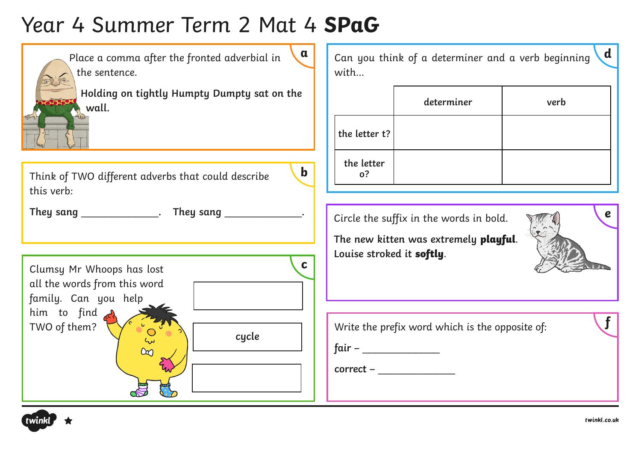# Year 4 Summer Term 2 Mat 4 **SPaG**



Place a comma after the fronted adverbial in the sentence.



**b**

**Holding on tightly Humpty Dumpty sat on the wall.**

Think of TWO different adverbs that could describe this verb:

**They sang** \_\_\_\_\_\_\_\_\_\_\_\_\_**. They sang** \_\_\_\_\_\_\_\_\_\_\_\_\_**.**

Clumsy Mr Whoops has lost all the words from this word family. Can you help him to find TWO of them?



Can you think of a determiner and a verb beginning with…

|                  | determiner | verb |
|------------------|------------|------|
| the letter $t$ ? |            |      |
| the letter<br>0? |            |      |

Circle the suffix in the words in bold.

**The new kitten was extremely playful**. **Louise stroked it softly**.

**e**

**d**

Write the prefix word which is the opposite of:

**fair –** \_\_\_\_\_\_\_\_\_\_\_\_\_

**correct –** \_\_\_\_\_\_\_\_\_\_\_\_\_

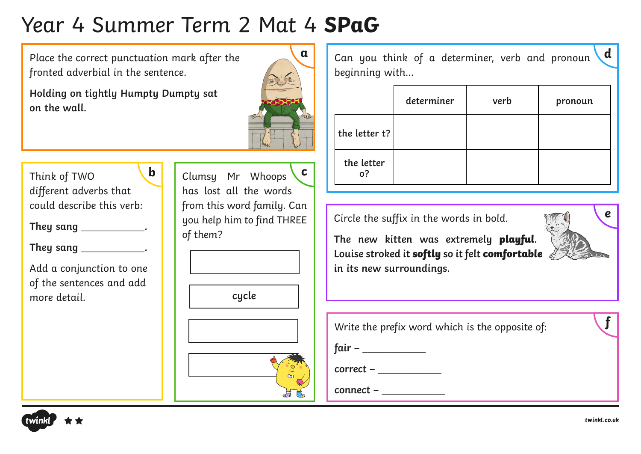# Year 4 Summer Term 2 Mat 4 **SPaG**

Place the correct punctuation mark after the fronted adverbial in the sentence.

**Holding on tightly Humpty Dumpty sat on the wall.**



Think of TWO different adverbs that could describe this verb: **b**

**They sang** \_\_\_\_\_\_\_\_\_\_\_\_\_**.**

**They sang** \_\_\_\_\_\_\_\_\_\_\_\_\_**.**

Add a conjunction to one of the sentences and add more detail.

Clumsy Mr Whoops has lost all the words from this word family. Can you help him to find THREE of them? **c**

**cycle**





Can you think of a determiner, verb and pronoun beginning with… **d**

|                  | determiner | verb | pronoun |
|------------------|------------|------|---------|
| the letter t?    |            |      |         |
| the letter<br>0? |            |      |         |

Circle the suffix in the words in bold.

**The new kitten was extremely playful. Louise stroked it softly so it felt comfortable in its new surroundings.**



| Write the prefix word which is the opposite of: |  |
|-------------------------------------------------|--|
| fair –                                          |  |

**correct –** \_\_\_\_\_\_\_\_\_\_\_\_\_

**connect –** \_\_\_\_\_\_\_\_\_\_\_\_\_

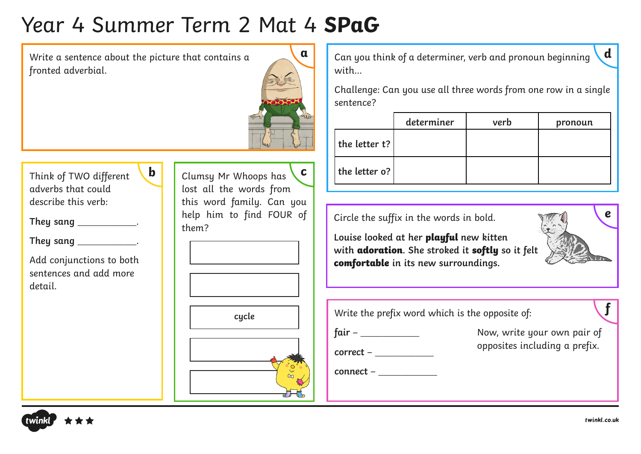## Year 4 Summer Term 2 Mat 4 **SPaG**

Write a sentence about the picture that contains a fronted adverbial.

**b**



Think of TWO different adverbs that could describe this verb:

**They sang** \_\_\_\_\_\_\_\_\_\_\_\_\_.

**They sang \_\_\_\_\_\_\_\_\_\_\_\_\_\_\_\_\_\_.** 

Add conjunctions to both sentences and add more detail.

Clumsy Mr Whoops has lost all the words from this word family. Can you help him to find FOUR of them? **c**



Can you think of a determiner, verb and pronoun beginning with…

Challenge: Can you use all three words from one row in a single sentence?

|                  | determiner | verb | pronoun |
|------------------|------------|------|---------|
| the letter $t$ ? |            |      |         |
| the letter o?    |            |      |         |

Circle the suffix in the words in bold.

**Louise looked at her playful new kitten with adoration. She stroked it softly so it felt comfortable in its new surroundings.** 



**d**

| Write the prefix word which is the opposite of: |                                                              |
|-------------------------------------------------|--------------------------------------------------------------|
| fair – ___<br>$correct -$                       | Now, write your own pair of<br>opposites including a prefix. |
| connect -                                       |                                                              |

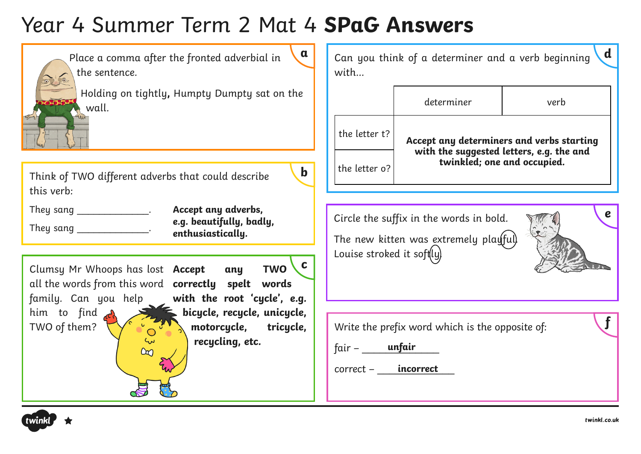# Year 4 Summer Term 2 Mat 4 **SPaG Answers**

| $\mathbf{a}$<br>Place a comma after the fronted adverbial in<br>the sentence.                                                                                          | $\mathbf a$<br>Can you think of a determiner and a verb beginning<br>with                            |                                                              |                                                                                       |
|------------------------------------------------------------------------------------------------------------------------------------------------------------------------|------------------------------------------------------------------------------------------------------|--------------------------------------------------------------|---------------------------------------------------------------------------------------|
| Holding on tightly, Humpty Dumpty sat on the<br>wall.                                                                                                                  |                                                                                                      | determiner                                                   | verb                                                                                  |
|                                                                                                                                                                        | the letter t?                                                                                        |                                                              | Accept any determiners and verbs starting<br>with the suggested letters, e.g. the and |
| $\mathbf b$<br>Think of TWO different adverbs that could describe<br>this verb:                                                                                        | the letter o?                                                                                        |                                                              | twinkled; one and occupied.                                                           |
| Accept any adverbs,<br>They sang ________________.<br>e.g. beautifully, badly,<br>They sang ______________.<br>enthusiastically.                                       | $\boldsymbol{e}$<br>Circle the suffix in the words in bold.<br>The new kitten was extremely playful) |                                                              |                                                                                       |
| C .<br><b>TWO</b><br>Clumsy Mr Whoops has lost <b>Accept</b><br>any<br>all the words from this word <b>correctly</b> spelt<br>words                                    | Louise stroked it soft(ly)                                                                           |                                                              |                                                                                       |
| with the root 'cycle', e.g.<br>family. Can you help<br>bicycle, recycle, unicycle,<br>him to find <b>d</b><br>TWO of them?<br>motorcycle, tricycle,<br>recycling, etc. | $fair -$ unfair<br>correct -                                                                         | Write the prefix word which is the opposite of:<br>incorrect |                                                                                       |

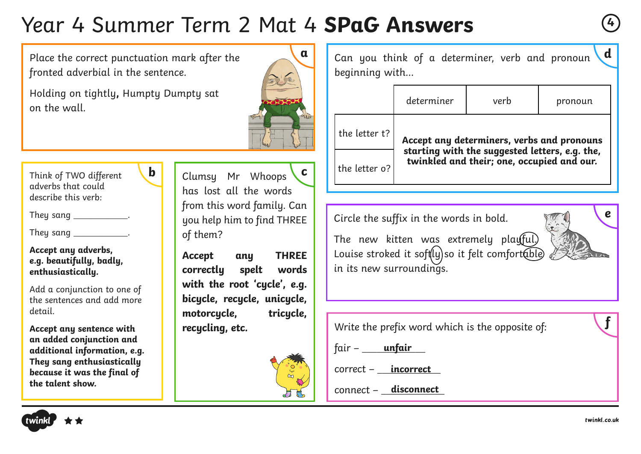## Year 4 Summer Term 2 Mat 4 **SPaG Answers <sup>4</sup>**

Place the correct punctuation mark after the fronted adverbial in the sentence.

**b**

Holding on tightly**,** Humpty Dumpty sat on the wall.



Think of TWO different adverbs that could describe this verb:

They sang the control of the sangle control of the control of the control of the control of the control of the <br>Second the control of the control of the control of the control of the control of the control of the control o

They sang  $\frac{1}{2}$ .

**Accept any adverbs, e.g. beautifully, badly, enthusiastically.**

Add a conjunction to one of the sentences and add more detail.

**Accept any sentence with an added conjunction and additional information, e.g. They sang enthusiastically because it was the final of the talent show.**

Clumsy Mr Whoops has lost all the words from this word family. Can you help him to find THREE of them? **c**

**Accept any THREE correctly spelt words with the root 'cycle', e.g. bicycle, recycle, unicycle,**  motorcucle. tricucle. **recycling, etc.**



Can you think of a determiner, verb and pronoun beginning with… **d**

|               | determiner                                                                                   | verb | pronoun |  |
|---------------|----------------------------------------------------------------------------------------------|------|---------|--|
| the letter t? | Accept any determiners, verbs and pronouns                                                   |      |         |  |
| the letter o? | starting with the suggested letters, e.g. the,<br>twinkled and their; one, occupied and our. |      |         |  |

Circle the suffix in the words in bold.

The new kitten was extremely playful.) Louise stroked it soft $[y]$ so it felt comfort $\widehat{\phi}$ le in its new surroundings.



Write the prefix word which is the opposite of:

fair – \_\_\_\_\_\_\_\_\_\_\_\_\_ **unfair**

correct – **incorrect** 

connect – \_\_\_\_\_\_\_\_\_\_\_\_\_ **disconnect**